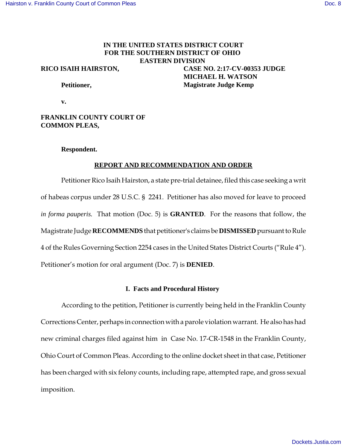# **IN THE UNITED STATES DISTRICT COURT FOR THE SOUTHERN DISTRICT OF OHIO EASTERN DIVISION**

### **RICO ISAIH HAIRSTON,**

**CASE NO. 2:17-CV-00353 JUDGE MICHAEL H. WATSON Magistrate Judge Kemp**

## **Petitioner,**

**v.** 

## **FRANKLIN COUNTY COURT OF COMMON PLEAS,**

### **Respondent.**

## **REPORT AND RECOMMENDATION AND ORDER**

Petitioner Rico Isaih Hairston, a state pre-trial detainee, filed this case seeking a writ of habeas corpus under 28 U.S.C. § 2241. Petitioner has also moved for leave to proceed *in forma pauperis.* That motion (Doc. 5) is **GRANTED**. For the reasons that follow, the Magistrate Judge **RECOMMENDS** that petitioner's claims be **DISMISSED** pursuant to Rule 4 of the Rules Governing Section 2254 cases in the United States District Courts ("Rule 4"). Petitioner's motion for oral argument (Doc. 7) is **DENIED**.

### **I. Facts and Procedural History**

According to the petition, Petitioner is currently being held in the Franklin County Corrections Center, perhaps in connection with a parole violation warrant. He also has had new criminal charges filed against him in Case No. 17-CR-1548 in the Franklin County, Ohio Court of Common Pleas. According to the online docket sheet in that case, Petitioner has been charged with six felony counts, including rape, attempted rape, and gross sexual imposition.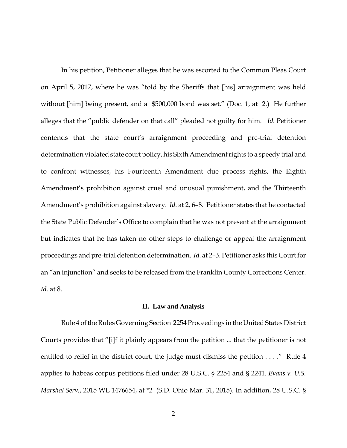In his petition, Petitioner alleges that he was escorted to the Common Pleas Court on April 5, 2017, where he was "told by the Sheriffs that [his] arraignment was held without [him] being present, and a \$500,000 bond was set." (Doc. 1, at 2.) He further alleges that the "public defender on that call" pleaded not guilty for him. *Id*. Petitioner contends that the state court's arraignment proceeding and pre-trial detention determination violated state court policy, his Sixth Amendment rights to a speedy trial and to confront witnesses, his Fourteenth Amendment due process rights, the Eighth Amendment's prohibition against cruel and unusual punishment, and the Thirteenth Amendment's prohibition against slavery. *Id*. at 2, 6–8. Petitioner states that he contacted the State Public Defender's Office to complain that he was not present at the arraignment but indicates that he has taken no other steps to challenge or appeal the arraignment proceedings and pre-trial detention determination. *Id*. at 2–3. Petitioner asks this Court for an "an injunction" and seeks to be released from the Franklin County Corrections Center. *Id*. at 8.

## **II. Law and Analysis**

Rule 4 of the Rules Governing Section 2254 Proceedings in the United States District Courts provides that "[i]f it plainly appears from the petition ... that the petitioner is not entitled to relief in the district court, the judge must dismiss the petition . . . ." Rule 4 applies to habeas corpus petitions filed under 28 U.S.C. § 2254 and § 2241. *Evans v. U.S. Marshal Serv.*, 2015 WL 1476654, at \*2 (S.D. Ohio Mar. 31, 2015). In addition, 28 U.S.C. §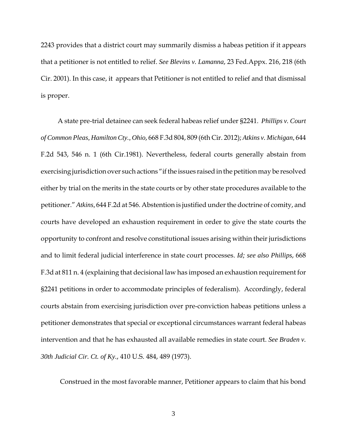2243 provides that a district court may summarily dismiss a habeas petition if it appears that a petitioner is not entitled to relief. *See Blevins v. Lamanna*, 23 Fed.Appx. 216, 218 (6th Cir. 2001). In this case, it appears that Petitioner is not entitled to relief and that dismissal is proper.

 A state pre-trial detainee can seek federal habeas relief under §2241. *Phillips v. Court of Common Pleas, Hamilton Cty., Ohio*, 668 F.3d 804, 809 (6th Cir. 2012); *Atkins v. Michigan,* 644 F.2d 543, 546 n. 1 (6th Cir.1981). Nevertheless, federal courts generally abstain from exercising jurisdiction over such actions "if the issues raised in the petition may be resolved either by trial on the merits in the state courts or by other state procedures available to the petitioner." *Atkins,* 644 F.2d at 546. Abstention is justified under the doctrine of comity, and courts have developed an exhaustion requirement in order to give the state courts the opportunity to confront and resolve constitutional issues arising within their jurisdictions and to limit federal judicial interference in state court processes. *Id; see also Phillips*, 668 F.3d at 811 n. 4 (explaining that decisional law has imposed an exhaustion requirement for §2241 petitions in order to accommodate principles of federalism). Accordingly, federal courts abstain from exercising jurisdiction over pre-conviction habeas petitions unless a petitioner demonstrates that special or exceptional circumstances warrant federal habeas intervention and that he has exhausted all available remedies in state court. *See Braden v. 30th Judicial Cir. Ct. of Ky.*, 410 U.S. 484, 489 (1973).

Construed in the most favorable manner, Petitioner appears to claim that his bond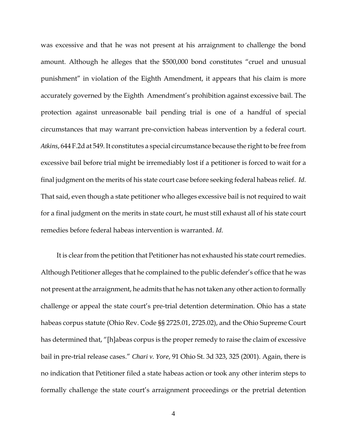was excessive and that he was not present at his arraignment to challenge the bond amount. Although he alleges that the \$500,000 bond constitutes "cruel and unusual punishment" in violation of the Eighth Amendment, it appears that his claim is more accurately governed by the Eighth Amendment's prohibition against excessive bail. The protection against unreasonable bail pending trial is one of a handful of special circumstances that may warrant pre-conviction habeas intervention by a federal court. *Atkins*, 644 F.2d at 549. It constitutes a special circumstance because the right to be free from excessive bail before trial might be irremediably lost if a petitioner is forced to wait for a final judgment on the merits of his state court case before seeking federal habeas relief. *Id*. That said, even though a state petitioner who alleges excessive bail is not required to wait for a final judgment on the merits in state court, he must still exhaust all of his state court remedies before federal habeas intervention is warranted. *Id*.

 It is clear from the petition that Petitioner has not exhausted his state court remedies. Although Petitioner alleges that he complained to the public defender's office that he was not present at the arraignment, he admits that he has not taken any other action to formally challenge or appeal the state court's pre-trial detention determination. Ohio has a state habeas corpus statute (Ohio Rev. Code §§ 2725.01, 2725.02), and the Ohio Supreme Court has determined that, "[h]abeas corpus is the proper remedy to raise the claim of excessive bail in pre-trial release cases." *Chari v. Yore*, 91 Ohio St. 3d 323, 325 (2001). Again, there is no indication that Petitioner filed a state habeas action or took any other interim steps to formally challenge the state court's arraignment proceedings or the pretrial detention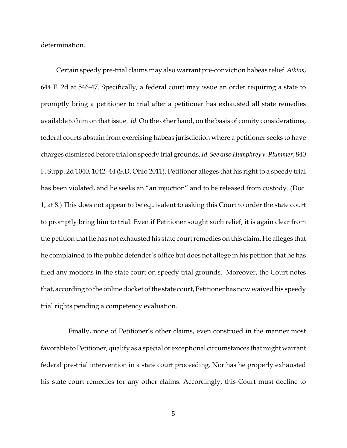determination.

 Certain speedy pre-trial claims may also warrant pre-conviction habeas relief. *Atkins*, 644 F. 2d at 546-47. Specifically, a federal court may issue an order requiring a state to promptly bring a petitioner to trial after a petitioner has exhausted all state remedies available to him on that issue. *Id*. On the other hand, on the basis of comity considerations, federal courts abstain from exercising habeas jurisdiction where a petitioner seeks to have charges dismissed before trial on speedy trial grounds. *Id*. *See also Humphrey v. Plummer,* 840 F. Supp. 2d 1040, 1042–44 (S.D. Ohio 2011). Petitioner alleges that his right to a speedy trial has been violated, and he seeks an "an injuction" and to be released from custody. (Doc. 1, at 8.) This does not appear to be equivalent to asking this Court to order the state court to promptly bring him to trial. Even if Petitioner sought such relief, it is again clear from the petition that he has not exhausted his state court remedies on this claim. He alleges that he complained to the public defender's office but does not allege in his petition that he has filed any motions in the state court on speedy trial grounds. Moreover, the Court notes that, according to the online docket of the state court, Petitioner has now waived his speedy trial rights pending a competency evaluation.

 Finally, none of Petitioner's other claims, even construed in the manner most favorable to Petitioner, qualify as a special or exceptional circumstances that might warrant federal pre-trial intervention in a state court proceeding. Nor has he properly exhausted his state court remedies for any other claims. Accordingly, this Court must decline to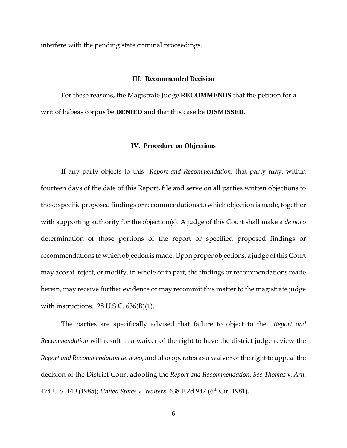interfere with the pending state criminal proceedings.

### **III. Recommended Decision**

For these reasons, the Magistrate Judge **RECOMMENDS** that the petition for a writ of habeas corpus be **DENIED** and that this case be **DISMISSED**.

#### **IV. Procedure on Objections**

If any party objects to this *Report and Recommendation*, that party may, within fourteen days of the date of this Report, file and serve on all parties written objections to those specific proposed findings or recommendations to which objection is made, together with supporting authority for the objection(s). A judge of this Court shall make a *de novo* determination of those portions of the report or specified proposed findings or recommendations to which objection is made. Upon proper objections, a judge of this Court may accept, reject, or modify, in whole or in part, the findings or recommendations made herein, may receive further evidence or may recommit this matter to the magistrate judge with instructions.  $28$  U.S.C.  $636(B)(1)$ .

The parties are specifically advised that failure to object to the *Report and Recommendation* will result in a waiver of the right to have the district judge review the *Report and Recommendation de novo,* and also operates as a waiver of the right to appeal the decision of the District Court adopting the *Report and Recommendation*. *See Thomas v. Arn,* 474 U.S. 140 (1985); *United States v. Walters,* 638 F.2d 947 (6<sup>th</sup> Cir. 1981).